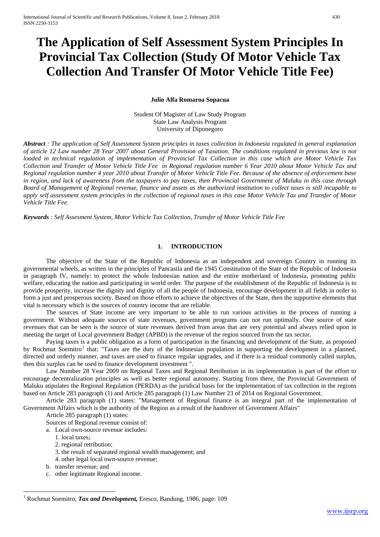# **The Application of Self Assessment System Principles In Provincial Tax Collection (Study Of Motor Vehicle Tax Collection And Transfer Of Motor Vehicle Title Fee)**

#### **Julio Alfa Romaroa Sopacua**

Student Of Magister of Law Study Program State Law Analysis Program University of Diponegoro

*Abstract : The application of Self Assessment System principles in taxes collection in Indonesia regulated in general explanation of article 12 Law number 28 Year 2007 about General Provision of Taxation. The conditions regulated in previous law is not loaded in technical regulation of implementation of Provincial Tax Collection in this case which are Motor Vehicle Tax Collection and Transfer of Motor Vehicle Title Fee in Regional regulation number 6 Year 2010 about Motor Vehicle Tax and Regional regulation number 4 year 2010 about Transfer of Motor Vehicle Title Fee. Because of the absence of enforcement base in region, and lack of awareness from the taxpayers to pay taxes, then Provincial Government of Maluku in this case through Board of Management of Regional revenue, finance and assets as the authorized institution to collect taxes is still incapable to apply self assessment system principles in the collection of regional taxes in this case Motor Vehicle Tax and Transfer of Motor Vehicle Title Fee.* 

*Keywords : Self Assesment System, Motor Vehicle Tax Collection, Transfer of Motor Vehicle Title Fee*

## **1. INTRODUCTION**

The objective of the State of the Republic of Indonesia as an independent and sovereign Country in running its governmental wheels, as written in the principles of Pancasila and the 1945 Constitution of the State of the Republic of Indonesia in paragraph IV, namely: to protect the whole Indonesian nation and the entire motherland of Indonesia, promoting public welfare, educating the nation and participating in world order. The purpose of the establishment of the Republic of Indonesia is to provide prosperity, increase the dignity and dignity of all the people of Indonesia, encourage development in all fields in order to form a just and prosperous society. Based on those efforts to achieve the objectives of the State, then the supportive elements that vital is necessary which is the sources of country income that are reliable.

The sources of State income are very important to be able to run various activities in the process of running a government. Without adequate sources of state revenues, government programs can not run optimally. One source of state revenues that can be seen is the source of state revenues derived from areas that are very potential and always relied upon in meeting the target of Local government Budget (APBD) is the revenue of the region sourced from the tax sector.

Paying taxes is a public obligation as a form of participation in the financing and development of the State, as proposed by Rochmat Soemitro<sup>[1](#page-0-0)</sup> that: "Taxes are the duty of the Indonesian population in supporting the development in a planned, directed and orderly manner, and taxes are used to finance regular upgrades, and if there is a residual commonly called surplus, then this surplus can be used to finance development investment ".

Law Number 28 Year 2009 on Regional Taxes and Regional Retribution in its implementation is part of the effort to encourage decentralization principles as well as better regional autonomy. Starting from there, the Provincial Government of Maluku stipulates the Regional Regulation (PERDA) as the juridical basis for the implementation of tax collection in the regions based on Article 283 paragraph (1) and Article 285 paragraph (1) Law Number 23 of 2014 on Regional Government.

Article 283 paragraph (1) states: "Management of Regional finance is an integral part of the implementation of Government Affairs which is the authority of the Region as a result of the handover of Government Affairs"

Article 285 paragraph (1) states:

Sources of Regional revenue consist of:

a. Local own-source revenue includes:

- 1. local taxes;
- 2. regional retribution;
- 3. the result of separated regional wealth management; and
- 4. other legal local own-source revenue;
- b. transfer revenue; and

<u>.</u>

c. other legitimate Regional income.

<span id="page-0-0"></span><sup>1</sup> Rochmat Soemitro, *Tax and Development,* Eresco, Bandung, 1986, page: 109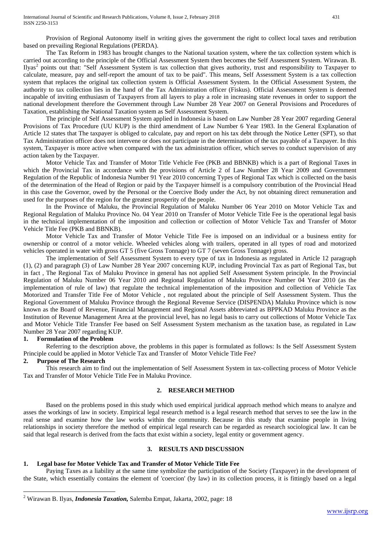Provision of Regional Autonomy itself in writing gives the government the right to collect local taxes and retribution based on prevailing Regional Regulations (PERDA).

The Tax Reform in 1983 has brought changes to the National taxation system, where the tax collection system which is carried out according to the principle of the Official Assessment System then becomes the Self Assessment System. Wirawan. B. Ilyas[2](#page-0-0) points out that: "Self Assessment System is tax collection that gives authority, trust and responsibility to Taxpayer to calculate, measure, pay and self-report the amount of tax to be paid". This means, Self Assessment System is a tax collection system that replaces the original tax collection system is Official Assessment System. In the Official Assessment System, the authority to tax collection lies in the hand of the Tax Administration officer (Fiskus). Official Assessment System is deemed incapable of inviting enthusiasm of Taxpayers from all layers to play a role in increasing state revenues in order to support the national development therefore the Government through Law Number 28 Year 2007 on General Provisions and Procedures of Taxation, establishing the National Taxation system as Self Assessment System.

The principle of Self Assessment System applied in Indonesia is based on Law Number 28 Year 2007 regarding General Provisions of Tax Procedure (UU KUP) is the third amendment of Law Number 6 Year 1983. In the General Explanation of Article 12 states that The taxpayer is obliged to calculate, pay and report on his tax debt through the Notice Letter (SPT), so that Tax Administration officer does not intervene or does not participate in the determination of the tax payable of a Taxpayer. In this system, Taxpayer is more active when compared with the tax administration officer, which serves to conduct supervision of any action taken by the Taxpayer.

Motor Vehicle Tax and Transfer of Motor Title Vehicle Fee (PKB and BBNKB) which is a part of Regional Taxes in which the Provincial Tax in accordance with the provisions of Article 2 of Law Number 28 Year 2009 and Government Regulation of the Republic of Indonesia Number 91 Year 2010 concerning Types of Regional Tax which is collected on the basis of the determination of the Head of Region or paid by the Taxpayer himself is a compulsory contribution of the Provincial Head in this case the Governor, owed by the Personal or the Coercive Body under the Act, by not obtaining direct remuneration and used for the purposes of the region for the greatest prosperity of the people.

In the Province of Maluku, the Provincial Regulation of Maluku Number 06 Year 2010 on Motor Vehicle Tax and Regional Regulation of Maluku Province No. 04 Year 2010 on Transfer of Motor Vehicle Title Fee is the operational legal basis in the technical implementation of the imposition and collection or collection of Motor Vehicle Tax and Transfer of Motor Vehicle Title Fee (PKB and BBNKB).

Motor Vehicle Tax and Transfer of Motor Vehicle Title Fee is imposed on an individual or a business entity for ownership or control of a motor vehicle. Wheeled vehicles along with trailers, operated in all types of road and motorized vehicles operated in water with gross GT 5 (five Gross Tonnage) to GT 7 (seven Gross Tonnage) gross.

The implementation of Self Assessment System to every type of tax in Indonesia as regulated in Article 12 paragraph (1), (2) and paragraph (3) of Law Number 28 Year 2007 concerning KUP, including Provincial Tax as part of Regional Tax, but in fact , The Regional Tax of Maluku Province in general has not applied Self Assessment System principle. In the Provincial Regulation of Maluku Number 06 Year 2010 and Regional Regulation of Maluku Province Number 04 Year 2010 (as the implementation of rule of law) that regulate the technical implementation of the imposition and collection of Vehicle Tax Motorized and Transfer Title Fee of Motor Vehicle , not regulated about the principle of Self Assessment System. Thus the Regional Government of Maluku Province through the Regional Revenue Service (DISPENDA) Maluku Province which is now known as the Board of Revenue, Financial Management and Regional Assets abbreviated as BPPKAD Maluku Province as the Institution of Revenue Management Area at the provincial level, has no legal basis to carry out collections of Motor Vehicle Tax and Motor Vehicle Title Transfer Fee based on Self Assessment System mechanism as the taxation base, as regulated in Law Number 28 Year 2007 regarding KUP.

## **1. Formulation of the Problem**

Referring to the description above, the problems in this paper is formulated as follows: Is the Self Assessment System Principle could be applied in Motor Vehicle Tax and Transfer of Motor Vehicle Title Fee?

#### **2. Purpose of The Research**

<u>.</u>

This research aim to find out the implementation of Self Assessment System in tax-collecting process of Motor Vehicle Tax and Transfer of Motor Vehicle Title Fee in Maluku Province.

## **2. RESEARCH METHOD**

Based on the problems posed in this study which used empirical juridical approach method which means to analyze and asses the workings of law in society. Empirical legal research method is a legal research method that serves to see the law in the real sense and examine how the law works within the community. Because in this study that examine people in living relationships in society therefore the method of empirical legal research can be regarded as research sociological law. It can be said that legal research is derived from the facts that exist within a society, legal entity or government agency.

## **3. RESULTS AND DISCUSSION**

## **1. Legal base for Motor Vehicle Tax and Transfer of Motor Vehicle Title Fee**

Paying Taxes as a liability at the same time symbolize the participation of the Society (Taxpayer) in the development of the State, which essentially contains the element of 'coercion' (by law) in its collection process, it is fittingly based on a legal

<span id="page-1-0"></span><sup>2</sup> Wirawan B. Ilyas, *Indonesia Taxation,* Salemba Empat, Jakarta, 2002, page: 18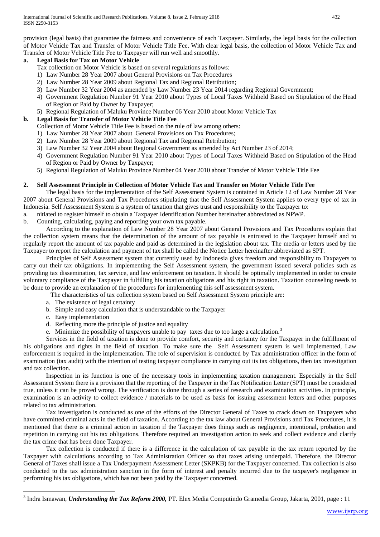provision (legal basis) that guarantee the fairness and convenience of each Taxpayer. Similarly, the legal basis for the collection of Motor Vehicle Tax and Transfer of Motor Vehicle Title Fee. With clear legal basis, the collection of Motor Vehicle Tax and Transfer of Motor Vehicle Title Fee to Taxpayer will run well and smoothly.

# **a. Legal Basis for Tax on Motor Vehicle**

Tax collection on Motor Vehicle is based on several regulations as follows:

- 1) Law Number 28 Year 2007 about General Provisions on Tax Procedures
- 2) Law Number 28 Year 2009 about Regional Tax and Regional Retribution;
- 3) Law Number 32 Year 2004 as amended by Law Number 23 Year 2014 regarding Regional Government;
- 4) Government Regulation Number 91 Year 2010 about Types of Local Taxes Withheld Based on Stipulation of the Head of Region or Paid by Owner by Taxpayer;
- 5) Regional Regulation of Maluku Province Number 06 Year 2010 about Motor Vehicle Tax

# **b. Legal Basis for Transfer of Motor Vehicle Title Fee**

Collection of Motor Vehicle Title Fee is based on the rule of law among others:

- 1) Law Number 28 Year 2007 about General Provisions on Tax Procedures;
- 2) Law Number 28 Year 2009 about Regional Tax and Regional Retribution;
- 3) Law Number 32 Year 2004 about Regional Government as amended by Act Number 23 of 2014;
- 4) Government Regulation Number 91 Year 2010 about Types of Local Taxes Withheld Based on Stipulation of the Head of Region or Paid by Owner by Taxpayer;
- 5) Regional Regulation of Maluku Province Number 04 Year 2010 about Transfer of Motor Vehicle Title Fee

# **2. Self Assessment Principle in Collection of Motor Vehicle Tax and Transfer on Motor Vehicle Title Fee**

The legal basis for the implementation of the Self Assessment System is contained in Article 12 of Law Number 28 Year 2007 about General Provisions and Tax Procedures stipulating that the Self Assessment System applies to every type of tax in Indonesia. Self Assessment System is a system of taxation that gives trust and responsibility to the Taxpayer to:

- a. nitiated to register himself to obtain a Taxpayer Identification Number hereinafter abbreviated as NPWP.
- b. Counting, calculating, paying and reporting your own tax payable.

According to the explanation of Law Number 28 Year 2007 about General Provisions and Tax Procedures explain that the collection system means that the determination of the amount of tax payable is entrusted to the Taxpayer himself and to regularly report the amount of tax payable and paid as determined in the legislation about tax. The media or letters used by the Taxpayer to report the calculation and payment of tax shall be called the Notice Letter hereinafter abbreviated as SPT.

Principles of Self Assessment system that currently used by Indonesia gives freedom and responsibility to Taxpayers to carry out their tax obligations. In implementing the Self Assessment system, the government issued several policies such as providing tax dissemination, tax service, and law enforcement on taxation. It should be optimally implemented in order to create voluntary compliance of the Taxpayer in fulfilling his taxation obligations and his right in taxation. Taxation counseling needs to be done to provide an explanation of the procedures for implementing this self assessment system.

The characteristics of tax collection system based on Self Assessment System principle are:

- a. The existence of legal certainty
- b. Simple and easy calculation that is understandable to the Taxpayer
- c. Easy implementation

<u>.</u>

- d. Reflecting more the principle of justice and equality
- e. Minimize the possibility of taxpayers unable to pay taxes due to too large a calculation.<sup>[3](#page-1-0)</sup>

Services in the field of taxation is done to provide comfort, security and certainty for the Taxpayer in the fulfillment of his obligations and rights in the field of taxation. To make sure the Self Assessment system is well implemented, Law enforcement is required in the implementation. The role of supervision is conducted by Tax administration officer in the form of examination (tax audit) with the intention of testing taxpayer compliance in carrying out its tax obligations, then tax investigation and tax collection.

Inspection in its function is one of the necessary tools in implementing taxation management. Especially in the Self Assessment System there is a provision that the reporting of the Taxpayer in the Tax Notification Letter (SPT) must be considered true, unless it can be proved wrong. The verification is done through a series of research and examination activities. In principle, examination is an activity to collect evidence / materials to be used as basis for issuing assessment letters and other purposes related to tax administration.

Tax investigation is conducted as one of the efforts of the Director General of Taxes to crack down on Taxpayers who have committed criminal acts in the field of taxation. According to the tax law about General Provisions and Tax Procedures, it is mentioned that there is a criminal action in taxation if the Taxpayer does things such as negligence, intentional, probation and repetition in carrying out his tax obligations. Therefore required an investigation action to seek and collect evidence and clarify the tax crime that has been done Taxpayer.

Tax collection is conducted if there is a difference in the calculation of tax payable in the tax return reported by the Taxpayer with calculations according to Tax Administration Officer so that taxes arising underpaid. Therefore, the Director General of Taxes shall issue a Tax Underpayment Assessment Letter (SKPKB) for the Taxpayer concerned. Tax collection is also conducted to the tax administration sanction in the form of interest and penalty incurred due to the taxpayer's negligence in performing his tax obligations, which has not been paid by the Taxpayer concerned.

<span id="page-2-0"></span><sup>&</sup>lt;sup>3</sup> Indra Ismawan, *Understanding the Tax Reform 2000*, PT. Elex Media Computindo Gramedia Group, Jakarta, 2001, page: 11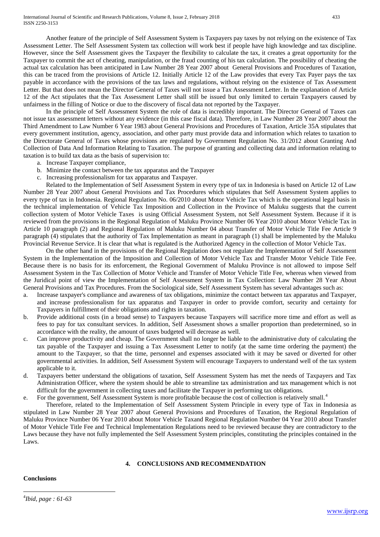Another feature of the principle of Self Assessment System is Taxpayers pay taxes by not relying on the existence of Tax Assessment Letter. The Self Assessment System tax collection will work best if people have high knowledge and tax discipline. However, since the Self Assessment gives the Taxpayer the flexibility to calculate the tax, it creates a great opportunity for the Taxpayer to commit the act of cheating, manipulation, or the fraud counting of his tax calculation. The possibility of cheating the actual tax calculation has been anticipated in Law Number 28 Year 2007 about General Provisions and Procedures of Taxation, this can be traced from the provisions of Article 12. Initially Article 12 of the Law provides that every Tax Payer pays the tax payable in accordance with the provisions of the tax laws and regulations, without relying on the existence of Tax Assessment Letter. But that does not mean the Director General of Taxes will not issue a Tax Assessment Letter. In the explanation of Article 12 of the Act stipulates that the Tax Assessment Letter shall still be issued but only limited to certain Taxpayers caused by unfairness in the filling of Notice or due to the discovery of fiscal data not reported by the Taxpayer.

In the principle of Self Assessment System the role of data is incredibly important. The Director General of Taxes can not issue tax assessment letters without any evidence (in this case fiscal data). Therefore, in Law Number 28 Year 2007 about the Third Amendment to Law Number 6 Year 1983 about General Provisions and Procedures of Taxation, Article 35A stipulates that every government institution, agency, association, and other party must provide data and information which relates to taxation to the Directorate General of Taxes whose provisions are regulated by Government Regulation No. 31/2012 about Granting And Collection of Data And Information Relating to Taxation. The purpose of granting and collecting data and information relating to taxation is to build tax data as the basis of supervision to:

- a. Increase Taxpayer compliance,
- b. Minimize the contact between the tax apparatus and the Taxpayer
- c. Increasing professionalism for tax apparatus and Taxpayer.

Related to the Implementation of Self Assessment System in every type of tax in Indonesia is based on Article 12 of Law Number 28 Year 2007 about General Provisions and Tax Procedures which stipulates that Self Assessment System applies to every type of tax in Indonesia. Regional Regulation No. 06/2010 about Motor Vehicle Tax which is the operational legal basis in the technical implementation of Vehicle Tax Imposition and Collection in the Province of Maluku suggests that the current collection system of Motor Vehicle Taxes is using Official Assessment System, not Self Assessment System. Because if it is reviewed from the provisions in the Regional Regulation of Maluku Province Number 06 Year 2010 about Motor Vehicle Tax in Article 10 paragraph (2) and Regional Regulation of Maluku Number 04 about Transfer of Motor Vehicle Title Fee Article 9 paragraph (4) stipulates that the authority of Tax Implementation as meant in paragraph (1) shall be implemented by the Maluku Provincial Revenue Service. It is clear that what is regulated is the Authorized Agency in the collection of Motor Vehicle Tax.

On the other hand in the provisions of the Regional Regulation does not regulate the Implementation of Self Assessment System in the Implementation of the Imposition and Collection of Motor Vehicle Tax and Transfer Motor Vehicle Title Fee. Because there is no basis for its enforcement, the Regional Government of Maluku Province is not allowed to impose Self Assessment System in the Tax Collection of Motor Vehicle and Transfer of Motor Vehicle Title Fee, whereas when viewed from the Juridical point of view the Implementation of Self Assessment System in Tax Collection: Law Number 28 Year About General Provisions and Tax Procedures. From the Sociological side, Self Assessment System has several advantages such as:

- a. Increase taxpayer's compliance and awareness of tax obligations, minimize the contact between tax apparatus and Taxpayer, and increase professionalism for tax apparatus and Taxpayer in order to provide comfort, security and certainty for Taxpayers in fulfillment of their obligations and rights in taxation.
- b. Provide additional costs (in a broad sense) to Taxpayers because Taxpayers will sacrifice more time and effort as well as fees to pay for tax consultant services. In addition, Self Assessment shows a smaller proportion than predetermined, so in accordance with the reality, the amount of taxes budgeted will decrease as well.
- c. Can improve productivity and cheap. The Government shall no longer be liable to the administrative duty of calculating the tax payable of the Taxpayer and issuing a Tax Assessment Letter to notify (at the same time ordering the payment) the amount to the Taxpayer, so that the time, personnel and expenses associated with it may be saved or diverted for other governmental activities. In addition, Self Assessment System will encourage Taxpayers to understand well of the tax system applicable to it.
- d. Taxpayers better understand the obligations of taxation, Self Assessment System has met the needs of Taxpayers and Tax Administration Officer, where the system should be able to streamline tax administration and tax management which is not difficult for the government in collecting taxes and facilitate the Taxpayer in performing tax obligations.
- e. For the government, Self Assessment System is more profitable because the cost of collection is relatively small.[4](#page-2-0)

Therefore, related to the Implementation of Self Assessment System Principle in every type of Tax in Indonesia as stipulated in Law Number 28 Year 2007 about General Provisions and Procedures of Taxation, the Regional Regulation of Maluku Province Number 06 Year 2010 about Motor Vehicle Taxand Regional Regulation Number 04 Year 2010 about Transfer of Motor Vehicle Title Fee and Technical Implementation Regulations need to be reviewed because they are contradictory to the Laws because they have not fully implemented the Self Assessment System principles, constituting the principles contained in the Laws.

## **4. CONCLUSIONS AND RECOMMENDATION**

#### **Conclusions**

<u>.</u>